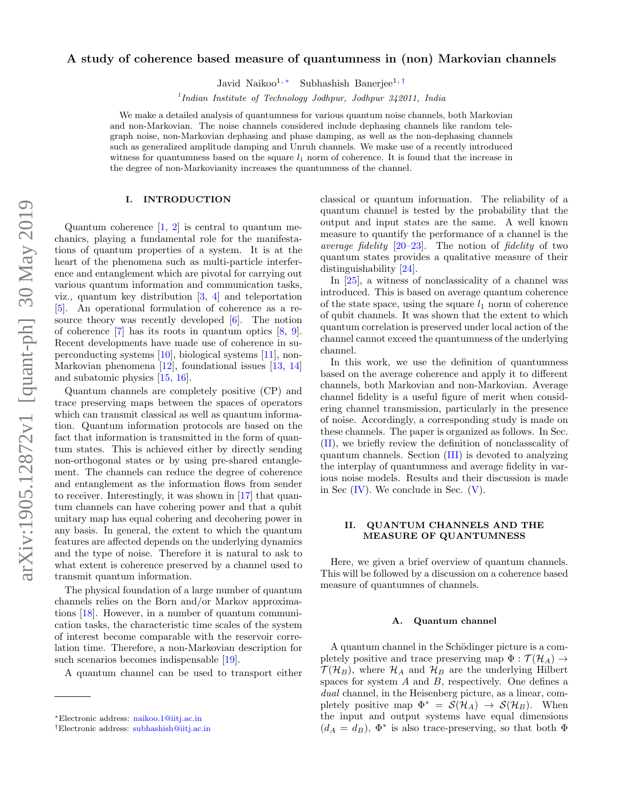# arXiv:1905.12872v1 [quant-ph] 30 May 2019 arXiv:1905.12872v1 [quant-ph] 30 May 2019

# A study of coherence based measure of quantumness in (non) Markovian channels

Javid Naikoo1, <sup>∗</sup> Subhashish Banerjee1, †

<sup>1</sup>Indian Institute of Technology Jodhpur, Jodhpur 342011, India

We make a detailed analysis of quantumness for various quantum noise channels, both Markovian and non-Markovian. The noise channels considered include dephasing channels like random telegraph noise, non-Markovian dephasing and phase damping, as well as the non-dephasing channels such as generalized amplitude damping and Unruh channels. We make use of a recently introduced witness for quantumness based on the square  $l_1$  norm of coherence. It is found that the increase in the degree of non-Markovianity increases the quantumness of the channel.

## I. INTRODUCTION

Quantum coherence  $\begin{bmatrix} 1, 2 \end{bmatrix}$  is central to quantum mechanics, playing a fundamental role for the manifestations of quantum properties of a system. It is at the heart of the phenomena such as multi-particle interference and entanglement which are pivotal for carrying out various quantum information and communication tasks, viz., quantum key distribution [3, 4] and teleportation [5]. An operational formulation of coherence as a resource theory was recently developed [6]. The notion of coherence  $[7]$  has its roots in quantum optics  $[8, 9]$ . Recent developments have made use of coherence in superconducting systems [10], biological systems [11], non-Markovian phenomena [12], foundational issues [13, 14] and subatomic physics [15, 16].

Quantum channels are completely positive (CP) and trace preserving maps between the spaces of operators which can transmit classical as well as quantum information. Quantum information protocols are based on the fact that information is transmitted in the form of quantum states. This is achieved either by directly sending non-orthogonal states or by using pre-shared entanglement. The channels can reduce the degree of coherence and entanglement as the information flows from sender to receiver. Interestingly, it was shown in [17] that quantum channels can have cohering power and that a qubit unitary map has equal cohering and decohering power in any basis. In general, the extent to which the quantum features are affected depends on the underlying dynamics and the type of noise. Therefore it is natural to ask to what extent is coherence preserved by a channel used to transmit quantum information.

The physical foundation of a large number of quantum channels relies on the Born and/or Markov approximations [18]. However, in a number of quantum communication tasks, the characteristic time scales of the system of interest become comparable with the reservoir correlation time. Therefore, a non-Markovian description for such scenarios becomes indispensable [19].

A quantum channel can be used to transport either

classical or quantum information. The reliability of a quantum channel is tested by the probability that the output and input states are the same. A well known measure to quantify the performance of a channel is the average fidelity  $[20-23]$ . The notion of fidelity of two quantum states provides a qualitative measure of their distinguishability [24].

In [25], a witness of nonclassicality of a channel was introduced. This is based on average quantum coherence of the state space, using the square  $l_1$  norm of coherence of qubit channels. It was shown that the extent to which quantum correlation is preserved under local action of the channel cannot exceed the quantumness of the underlying channel.

In this work, we use the definition of quantumness based on the average coherence and apply it to different channels, both Markovian and non-Markovian. Average channel fidelity is a useful figure of merit when considering channel transmission, particularly in the presence of noise. Accordingly, a corresponding study is made on these channels. The paper is organized as follows. In Sec. (II), we briefly review the definition of nonclasscality of quantum channels. Section (III) is devoted to analyzing the interplay of quantumness and average fidelity in various noise models. Results and their discussion is made in Sec  $(IV)$ . We conclude in Sec.  $(V)$ .

# II. QUANTUM CHANNELS AND THE MEASURE OF QUANTUMNESS

Here, we given a brief overview of quantum channels. This will be followed by a discussion on a coherence based measure of quantumnes of channels.

### A. Quantum channel

A quantum channel in the Schödinger picture is a completely positive and trace preserving map  $\Phi : \mathcal{T}(\mathcal{H}_A) \rightarrow$  $\mathcal{T}(\mathcal{H}_B)$ , where  $\mathcal{H}_A$  and  $\mathcal{H}_B$  are the underlying Hilbert spaces for system  $A$  and  $B$ , respectively. One defines a dual channel, in the Heisenberg picture, as a linear, completely positive map  $\Phi^* = \mathcal{S}(\mathcal{H}_A) \to \mathcal{S}(\mathcal{H}_B)$ . When the input and output systems have equal dimensions  $(d_A = d_B)$ ,  $\Phi^*$  is also trace-preserving, so that both  $\Phi$ 

<sup>∗</sup>Electronic address: naikoo.1@iitj.ac.in

<sup>†</sup>Electronic address: subhashish@iitj.ac.in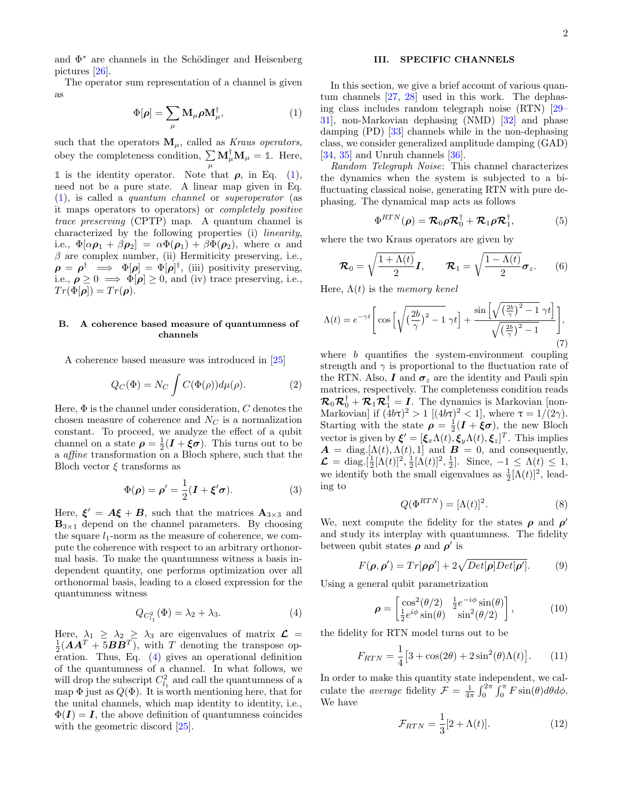and  $\Phi^*$  are channels in the Schödinger and Heisenberg pictures [26].

The operator sum representation of a channel is given as

$$
\Phi[\rho] = \sum_{\mu} \mathbf{M}_{\mu} \rho \mathbf{M}_{\mu}^{\dagger}, \tag{1}
$$

such that the operators  $\mathbf{M}_{\mu}$ , called as *Kraus operators*, obey the completeness condition,  $\sum \mathbf{M}_{\mu}^{\dagger} \mathbf{M}_{\mu} = \mathbb{1}$ . Here,  $\mu$ 

**1** is the identity operator. Note that  $\rho$ , in Eq. (1), need not be a pure state. A linear map given in Eq. (1), is called a quantum channel or superoperator (as it maps operators to operators) or completely positive trace preserving (CPTP) map. A quantum channel is characterized by the following properties (i) linearity, i.e.,  $\Phi[\alpha \rho_1 + \beta \rho_2] = \alpha \Phi(\rho_1) + \beta \Phi(\rho_2)$ , where  $\alpha$  and  $\beta$  are complex number, (ii) Hermiticity preserving, i.e.,  $\rho = \rho^{\dagger} \implies \Phi[\rho] = \Phi[\rho]^{\dagger}$ , (iii) positivity preserving, i.e.,  $\rho \geq 0 \implies \Phi[\rho] \geq 0$ , and (iv) trace preserving, i.e.,  $Tr(\Phi[\rho]) = Tr(\rho).$ 

# B. A coherence based measure of quantumness of channels

A coherence based measure was introduced in [25]

$$
Q_C(\Phi) = N_C \int C(\Phi(\rho)) d\mu(\rho). \tag{2}
$$

Here,  $\Phi$  is the channel under consideration, C denotes the chosen measure of coherence and  $N_C$  is a normalization constant. To proceed, we analyze the effect of a qubit channel on a state  $\rho = \frac{1}{2}(\mathbf{I} + \boldsymbol{\xi}\boldsymbol{\sigma})$ . This turns out to be a *affine* transformation on a Bloch sphere, such that the Bloch vector  $\xi$  transforms as

$$
\Phi(\rho) = \rho' = \frac{1}{2}(\mathbf{I} + \xi'\boldsymbol{\sigma}).\tag{3}
$$

Here,  $\xi' = A\xi + B$ , such that the matrices  $A_{3\times 3}$  and  $\mathbf{B}_{3\times 1}$  depend on the channel parameters. By choosing the square  $l_1$ -norm as the measure of coherence, we compute the coherence with respect to an arbitrary orthonormal basis. To make the quantumness witness a basis independent quantity, one performs optimization over all orthonormal basis, leading to a closed expression for the quantumness witness

$$
Q_{C_{l_1}^2}(\Phi) = \lambda_2 + \lambda_3. \tag{4}
$$

Here,  $\lambda_1 \ge \lambda_2 \ge \lambda_3$  are eigenvalues of matrix  $\mathcal{L} = \frac{1}{2} (AA^T + 5BB^T)$ , with T denoting the transpose operation. Thus, Eq. (4) gives an operational definition of the quantumness of a channel. In what follows, we will drop the subscript  $C_{l_1}^2$  and call the quantumness of a map  $\Phi$  just as  $Q(\Phi)$ . It is worth mentioning here, that for the unital channels, which map identity to identity, i.e.,  $\Phi(I) = I$ , the above definition of quantumness coincides with the geometric discord  $[25]$ .

# III. SPECIFIC CHANNELS

In this section, we give a brief account of various quantum channels [27, 28] used in this work. The dephasing class includes random telegraph noise (RTN) [29– 31], non-Markovian dephasing (NMD) [32] and phase damping (PD) [33] channels while in the non-dephasing class, we consider generalized amplitude damping (GAD) [34, 35] and Unruh channels [36].

Random Telegraph Noise: This channel characterizes the dynamics when the system is subjected to a bifluctuating classical noise, generating RTN with pure dephasing. The dynamical map acts as follows

$$
\Phi^{RTN}(\boldsymbol{\rho}) = \mathcal{R}_0 \boldsymbol{\rho} \mathcal{R}_0^{\dagger} + \mathcal{R}_1 \boldsymbol{\rho} \mathcal{R}_1^{\dagger}, \qquad (5)
$$

where the two Kraus operators are given by

$$
\boldsymbol{\mathcal{R}}_0 = \sqrt{\frac{1+\Lambda(t)}{2}}\boldsymbol{I}, \qquad \boldsymbol{\mathcal{R}}_1 = \sqrt{\frac{1-\Lambda(t)}{2}}\boldsymbol{\sigma}_z. \qquad (6)
$$

Here,  $\Lambda(t)$  is the memory kenel

$$
\Lambda(t) = e^{-\gamma t} \left[ \cos \left[ \sqrt{\left(\frac{2b}{\gamma}\right)^2 - 1} \gamma t \right] + \frac{\sin \left[ \sqrt{\left(\frac{2b}{\gamma}\right)^2 - 1} \gamma t \right]}{\sqrt{\left(\frac{2b}{\gamma}\right)^2 - 1}} \right],\tag{7}
$$

where  $b$  quantifies the system-environment coupling strength and  $\gamma$  is proportional to the fluctuation rate of the RTN. Also, I and  $\sigma_z$  are the identity and Pauli spin matrices, respectively. The completeness condition reads  $\mathcal{R}_0 \mathcal{R}_0^{\dagger} + \mathcal{R}_1 \mathcal{R}_1^{\dagger} = I$ . The dynamics is Markovian [non-Markovian] if  $(4b\tau)^2 > 1$  [ $(4b\tau)^2 < 1$ ], where  $\tau = 1/(2\gamma)$ . Starting with the state  $\rho = \frac{1}{2}(I + \xi \sigma)$ , the new Bloch vector is given by  $\boldsymbol{\xi}' = [\xi_x \Lambda(t), \xi_y \Lambda(t), \xi_z]^T$ . This implies  $\mathbf{A} = \text{diag.}[\Lambda(t), \Lambda(t), 1]$  and  $\mathbf{B} = 0$ , and consequently,  $\mathcal{L} = \text{diag.}[\frac{1}{2}[\Lambda(t)]^2, \frac{1}{2}[\Lambda(t)]^2, \frac{1}{2}].$  Since,  $-1 \leq \Lambda(t) \leq 1$ , we identify both the small eigenvalues as  $\frac{1}{2}[\Lambda(t)]^2$ , leading to

$$
Q(\Phi^{RTN}) = [\Lambda(t)]^2.
$$
 (8)

We, next compute the fidelity for the states  $\rho$  and  $\rho'$ and study its interplay with quantumness. The fidelity between qubit states  $\rho$  and  $\rho'$  is

$$
F(\rho, \rho') = Tr[\rho \rho'] + 2\sqrt{Det[\rho]Det[\rho']}. \tag{9}
$$

Using a general qubit parametrization

$$
\rho = \begin{bmatrix} \cos^2(\theta/2) & \frac{1}{2}e^{-i\phi}\sin(\theta) \\ \frac{1}{2}e^{i\phi}\sin(\theta) & \sin^2(\theta/2) \end{bmatrix},
$$
(10)

the fidelity for RTN model turns out to be

$$
F_{RTN} = \frac{1}{4} [3 + \cos(2\theta) + 2\sin^2(\theta)\Lambda(t)].
$$
 (11)

In order to make this quantity state independent, we calculate the *average* fidelity  $\mathcal{F} = \frac{1}{4\pi} \int_0^{2\pi} \int_0^{\pi} F \sin(\theta) d\theta d\phi$ . We have

$$
\mathcal{F}_{RTN} = \frac{1}{3} [2 + \Lambda(t)]. \tag{12}
$$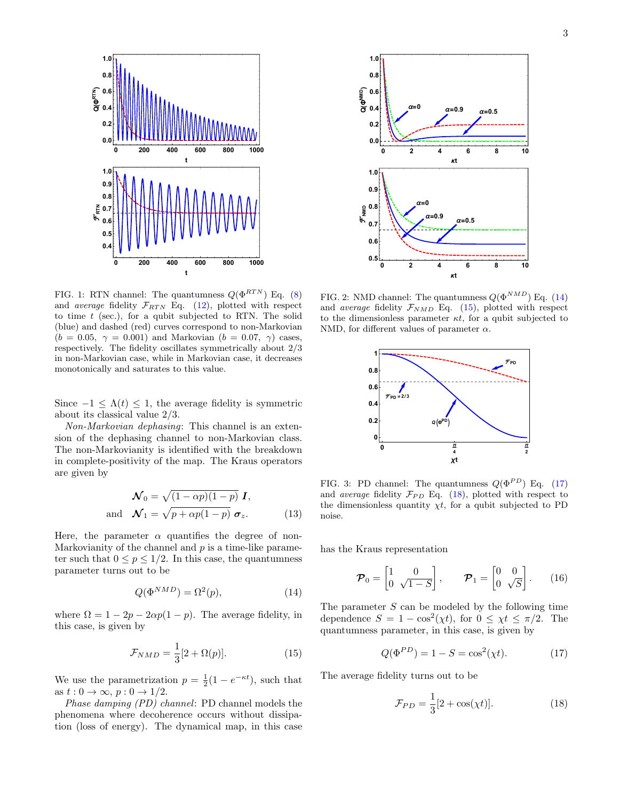

FIG. 1: RTN channel: The quantumness  $Q(\Phi^{RTN})$  Eq. (8) and *average* fidelity  $\mathcal{F}_{RTN}$  Eq. (12), plotted with respect to time  $t$  (sec.), for a qubit subjected to RTN. The solid (blue) and dashed (red) curves correspond to non-Markovian  $(b = 0.05, \gamma = 0.001)$  and Markovian  $(b = 0.07, \gamma)$  cases, respectively. The fidelity oscillates symmetrically about 2/3 in non-Markovian case, while in Markovian case, it decreases monotonically and saturates to this value.

Since  $-1 \leq \Lambda(t) \leq 1$ , the average fidelity is symmetric about its classical value 2/3.

Non-Markovian dephasing: This channel is an extension of the dephasing channel to non-Markovian class. The non-Markovianity is identified with the breakdown in complete-positivity of the map. The Kraus operators are given by

$$
\mathcal{N}_0 = \sqrt{(1 - \alpha p)(1 - p)} \mathbf{I},
$$
  
and 
$$
\mathcal{N}_1 = \sqrt{p + \alpha p(1 - p)} \sigma_z.
$$
 (13)

Here, the parameter  $\alpha$  quantifies the degree of non-Markovianity of the channel and  $p$  is a time-like parameter such that  $0 \le p \le 1/2$ . In this case, the quantumness parameter turns out to be

$$
Q(\Phi^{NMD}) = \Omega^2(p),\tag{14}
$$

where  $\Omega = 1 - 2p - 2\alpha p(1 - p)$ . The average fidelity, in this case, is given by

$$
\mathcal{F}_{NMD} = \frac{1}{3} [2 + \Omega(p)]. \tag{15}
$$

We use the parametrization  $p = \frac{1}{2}(1 - e^{-\kappa t})$ , such that as  $t: 0 \to \infty$ ,  $p: 0 \to 1/2$ .

Phase damping (PD) channel: PD channel models the phenomena where decoherence occurs without dissipation (loss of energy). The dynamical map, in this case



FIG. 2: NMD channel: The quantumness  $Q(\Phi^{NMD})$  Eq. (14) and *average* fidelity  $\mathcal{F}_{NMD}$  Eq. (15), plotted with respect to the dimensionless parameter  $\kappa t$ , for a qubit subjected to NMD, for different values of parameter  $\alpha$ .



FIG. 3: PD channel: The quantumness  $Q(\Phi^{PD})$  Eq. (17) and *average* fidelity  $\mathcal{F}_{PD}$  Eq. (18), plotted with respect to the dimensionless quantity  $\chi t$ , for a qubit subjected to PD noise.

has the Kraus representation

$$
\boldsymbol{\mathcal{P}}_0 = \begin{bmatrix} 1 & 0 \\ 0 & \sqrt{1-S} \end{bmatrix}, \qquad \boldsymbol{\mathcal{P}}_1 = \begin{bmatrix} 0 & 0 \\ 0 & \sqrt{S} \end{bmatrix}. \tag{16}
$$

The parameter  $S$  can be modeled by the following time dependence  $S = 1 - \cos^2(\chi t)$ , for  $0 \leq \chi t \leq \pi/2$ . The quantumness parameter, in this case, is given by

$$
Q(\Phi^{PD}) = 1 - S = \cos^2(\chi t). \tag{17}
$$

The average fidelity turns out to be

$$
\mathcal{F}_{PD} = \frac{1}{3} [2 + \cos(\chi t)]. \tag{18}
$$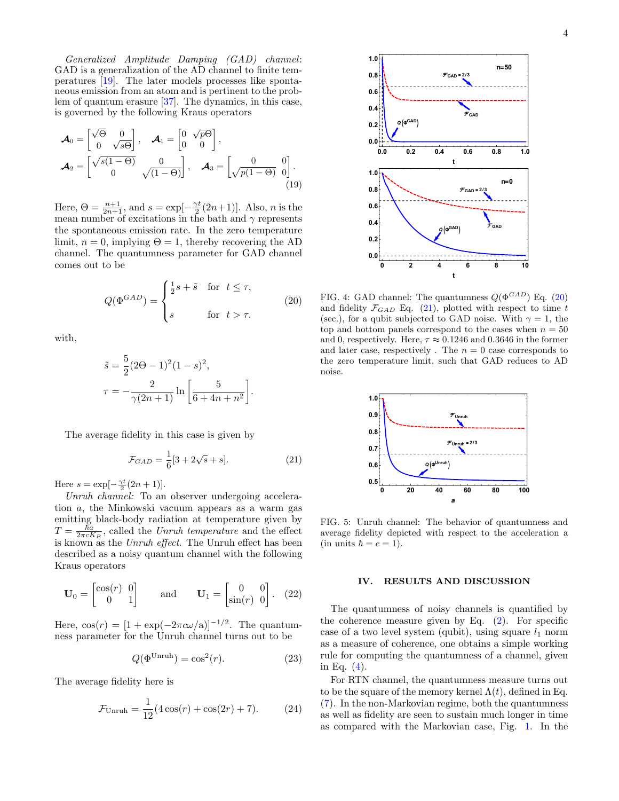Generalized Amplitude Damping (GAD) channel: GAD is a generalization of the AD channel to finite temperatures [19]. The later models processes like spontaneous emission from an atom and is pertinent to the problem of quantum erasure [37]. The dynamics, in this case, is governed by the following Kraus operators

$$
\mathcal{A}_0 = \begin{bmatrix} \sqrt{\Theta} & 0 \\ 0 & \sqrt{s}\Theta \end{bmatrix}, \quad \mathcal{A}_1 = \begin{bmatrix} 0 & \sqrt{p}\Theta \\ 0 & 0 \end{bmatrix}, \mathcal{A}_2 = \begin{bmatrix} \sqrt{s(1-\Theta)} & 0 \\ 0 & \sqrt{(1-\Theta)} \end{bmatrix}, \quad \mathcal{A}_3 = \begin{bmatrix} 0 & 0 \\ \sqrt{p(1-\Theta)} & 0 \end{bmatrix}.
$$
\n(19)

Here,  $\Theta = \frac{n+1}{2n+1}$ , and  $s = \exp[-\frac{\gamma t}{2}(2n+1)]$ . Also, *n* is the mean number of excitations in the bath and  $\gamma$  represents the spontaneous emission rate. In the zero temperature limit,  $n = 0$ , implying  $\Theta = 1$ , thereby recovering the AD channel. The quantumness parameter for GAD channel comes out to be

$$
Q(\Phi^{GAD}) = \begin{cases} \frac{1}{2}s + \tilde{s} & \text{for } t \le \tau, \\ s & \text{for } t > \tau. \end{cases}
$$
 (20)

with,

$$
\tilde{s} = \frac{5}{2}(2\Theta - 1)^2 (1 - s)^2,
$$
  

$$
\tau = -\frac{2}{\gamma(2n+1)} \ln\left[\frac{5}{6 + 4n + n^2}\right].
$$

The average fidelity in this case is given by

$$
\mathcal{F}_{GAD} = \frac{1}{6} [3 + 2\sqrt{s} + s].
$$
 (21)

Here  $s = \exp[-\frac{\gamma t}{2}(2n + 1)].$ 

Unruh channel: To an observer undergoing acceleration a, the Minkowski vacuum appears as a warm gas emitting black-body radiation at temperature given by  $T = \frac{\hbar a}{2\pi c K_B}$ , called the Unruh temperature and the effect is known as the Unruh effect. The Unruh effect has been described as a noisy quantum channel with the following Kraus operators

$$
\mathbf{U}_0 = \begin{bmatrix} \cos(r) & 0 \\ 0 & 1 \end{bmatrix} \quad \text{and} \quad \mathbf{U}_1 = \begin{bmatrix} 0 & 0 \\ \sin(r) & 0 \end{bmatrix}. \tag{22}
$$

Here,  $\cos(r) = [1 + \exp(-2\pi c \omega/\text{a})]^{-1/2}$ . The quantumness parameter for the Unruh channel turns out to be

$$
Q(\Phi^{\text{Unruh}}) = \cos^2(r). \tag{23}
$$

The average fidelity here is

$$
\mathcal{F}_{\text{Unruh}} = \frac{1}{12} (4 \cos(r) + \cos(2r) + 7). \tag{24}
$$



FIG. 4: GAD channel: The quantumness  $Q(\Phi^{GAD})$  Eq. (20) and fidelity  $\mathcal{F}_{GAD}$  Eq. (21), plotted with respect to time t (sec.), for a qubit subjected to GAD noise. With  $\gamma = 1$ , the top and bottom panels correspond to the cases when  $n = 50$ and 0, respectively. Here,  $\tau \approx 0.1246$  and 0.3646 in the former and later case, respectively . The  $n = 0$  case corresponds to the zero temperature limit, such that GAD reduces to AD noise.



FIG. 5: Unruh channel: The behavior of quantumness and average fidelity depicted with respect to the acceleration a (in units  $\hbar = c = 1$ ).

### IV. RESULTS AND DISCUSSION

The quantumness of noisy channels is quantified by the coherence measure given by Eq.  $(2)$ . For specific case of a two level system (qubit), using square  $l_1$  norm as a measure of coherence, one obtains a simple working rule for computing the quantumness of a channel, given in Eq. (4).

For RTN channel, the quantumness measure turns out to be the square of the memory kernel  $\Lambda(t)$ , defined in Eq. (7). In the non-Markovian regime, both the quantumness as well as fidelity are seen to sustain much longer in time as compared with the Markovian case, Fig. 1. In the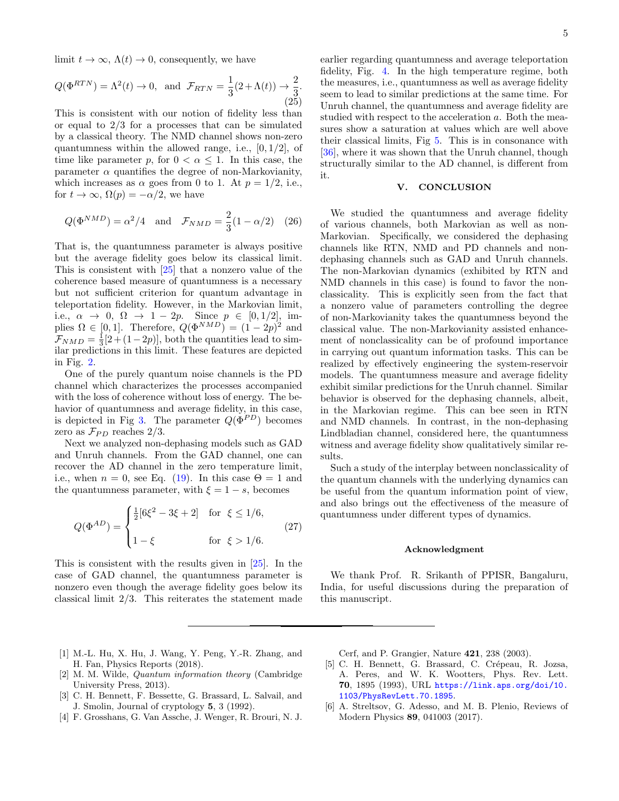limit  $t \to \infty$ ,  $\Lambda(t) \to 0$ , consequently, we have

$$
Q(\Phi^{RTN}) = \Lambda^2(t) \to 0, \text{ and } \mathcal{F}_{RTN} = \frac{1}{3}(2 + \Lambda(t)) \to \frac{2}{3}.
$$
\n(25)

This is consistent with our notion of fidelity less than or equal to 2/3 for a processes that can be simulated by a classical theory. The NMD channel shows non-zero quantumness within the allowed range, i.e.,  $[0, 1/2]$ , of time like parameter p, for  $0 < \alpha < 1$ . In this case, the parameter  $\alpha$  quantifies the degree of non-Markovianity, which increases as  $\alpha$  goes from 0 to 1. At  $p = 1/2$ , i.e., for  $t \to \infty$ ,  $\Omega(p) = -\alpha/2$ , we have

$$
Q(\Phi^{NMD}) = \alpha^2/4 \quad \text{and} \quad \mathcal{F}_{NMD} = \frac{2}{3}(1 - \alpha/2) \quad (26)
$$

That is, the quantumness parameter is always positive but the average fidelity goes below its classical limit. This is consistent with [25] that a nonzero value of the coherence based measure of quantumness is a necessary but not sufficient criterion for quantum advantage in teleportation fidelity. However, in the Markovian limit, i.e.,  $\alpha \to 0$ ,  $\Omega \to 1-2p$ . Since  $p \in [0, 1/2]$ , implies  $\Omega \in [0, 1]$ . Therefore,  $Q(\Phi^{NMD}) = (1 - 2p)^2$  and  $\mathcal{F}_{NMD} = \frac{1}{3}[2 + (1-2p)],$  both the quantities lead to similar predictions in this limit. These features are depicted in Fig. 2.

One of the purely quantum noise channels is the PD channel which characterizes the processes accompanied with the loss of coherence without loss of energy. The behavior of quantumness and average fidelity, in this case, is depicted in Fig 3. The parameter  $Q(\Phi^{PD})$  becomes zero as  $\mathcal{F}_{PD}$  reaches 2/3.

Next we analyzed non-dephasing models such as GAD and Unruh channels. From the GAD channel, one can recover the AD channel in the zero temperature limit, i.e., when  $n = 0$ , see Eq. (19). In this case  $\Theta = 1$  and the quantumness parameter, with  $\xi = 1 - s$ , becomes

$$
Q(\Phi^{AD}) = \begin{cases} \frac{1}{2}[6\xi^2 - 3\xi + 2] & \text{for } \xi \le 1/6, \\ 1 - \xi & \text{for } \xi > 1/6. \end{cases}
$$
 (27)

This is consistent with the results given in [25]. In the case of GAD channel, the quantumness parameter is nonzero even though the average fidelity goes below its classical limit 2/3. This reiterates the statement made

earlier regarding quantumness and average teleportation fidelity, Fig. 4. In the high temperature regime, both the measures, i.e., quantumness as well as average fidelity seem to lead to similar predictions at the same time. For Unruh channel, the quantumness and average fidelity are studied with respect to the acceleration a. Both the measures show a saturation at values which are well above their classical limits, Fig 5. This is in consonance with [36], where it was shown that the Unruh channel, though structurally similar to the AD channel, is different from it.

### V. CONCLUSION

We studied the quantumness and average fidelity of various channels, both Markovian as well as non-Markovian. Specifically, we considered the dephasing channels like RTN, NMD and PD channels and nondephasing channels such as GAD and Unruh channels. The non-Markovian dynamics (exhibited by RTN and NMD channels in this case) is found to favor the nonclassicality. This is explicitly seen from the fact that a nonzero value of parameters controlling the degree of non-Markovianity takes the quantumness beyond the classical value. The non-Markovianity assisted enhancement of nonclassicality can be of profound importance in carrying out quantum information tasks. This can be realized by effectively engineering the system-reservoir models. The quantumness measure and average fidelity exhibit similar predictions for the Unruh channel. Similar behavior is observed for the dephasing channels, albeit, in the Markovian regime. This can bee seen in RTN and NMD channels. In contrast, in the non-dephasing Lindbladian channel, considered here, the quantumness witness and average fidelity show qualitatively similar results.

Such a study of the interplay between nonclassicality of the quantum channels with the underlying dynamics can be useful from the quantum information point of view, and also brings out the effectiveness of the measure of quantumness under different types of dynamics.

### Acknowledgment

We thank Prof. R. Srikanth of PPISR, Bangaluru, India, for useful discussions during the preparation of this manuscript.

- [1] M.-L. Hu, X. Hu, J. Wang, Y. Peng, Y.-R. Zhang, and H. Fan, Physics Reports (2018).
- [2] M. M. Wilde, Quantum information theory (Cambridge University Press, 2013).
- [3] C. H. Bennett, F. Bessette, G. Brassard, L. Salvail, and J. Smolin, Journal of cryptology 5, 3 (1992).
- [4] F. Grosshans, G. Van Assche, J. Wenger, R. Brouri, N. J.

Cerf, and P. Grangier, Nature 421, 238 (2003).

- [5] C. H. Bennett, G. Brassard, C. Crépeau, R. Jozsa, A. Peres, and W. K. Wootters, Phys. Rev. Lett. 70, 1895 (1993), URL https://link.aps.org/doi/10. 1103/PhysRevLett.70.1895.
- [6] A. Streltsov, G. Adesso, and M. B. Plenio, Reviews of Modern Physics 89, 041003 (2017).